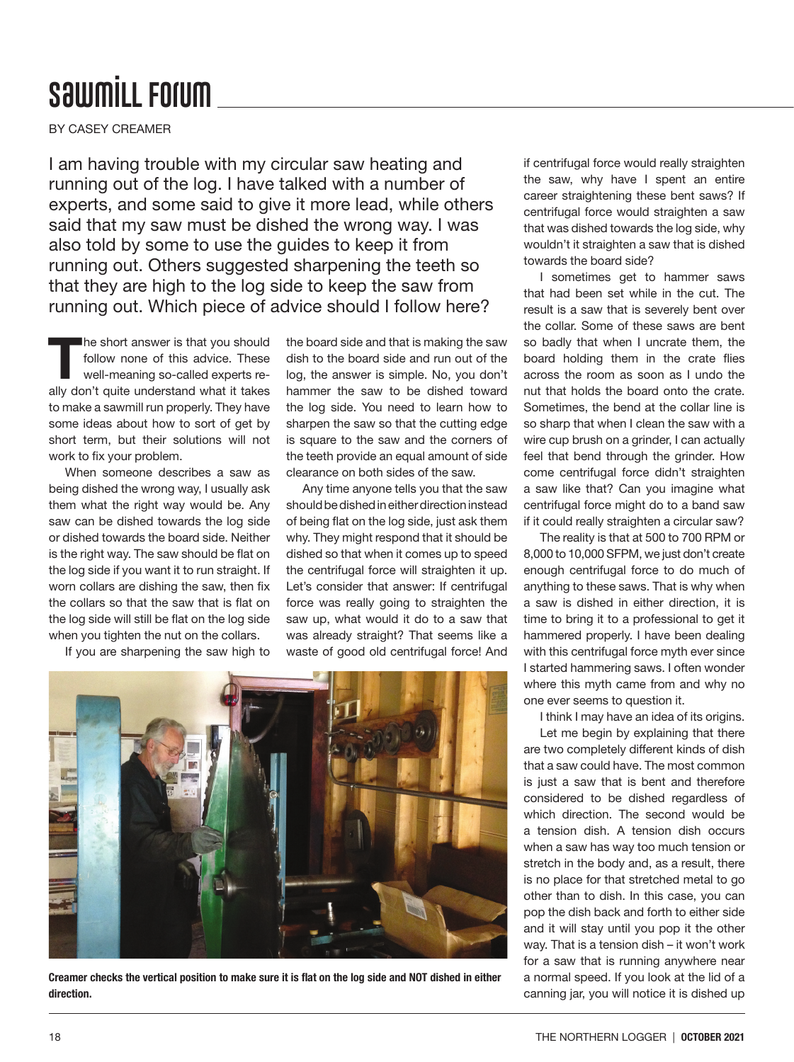## **SawmiLL Forum**

BY CASEY CREAMER

I am having trouble with my circular saw heating and running out of the log. I have talked with a number of experts, and some said to give it more lead, while others said that my saw must be dished the wrong way. I was also told by some to use the guides to keep it from running out. Others suggested sharpening the teeth so that they are high to the log side to keep the saw from running out. Which piece of advice should I follow here?

The short answer is that you should follow none of this advice. These well-meaning so-called experts really don't quite understand what it takes to make a sawmill run properly. They have some ideas about how to sort of get by short term, but their solutions will not work to fix your problem.

When someone describes a saw as being dished the wrong way, I usually ask them what the right way would be. Any saw can be dished towards the log side or dished towards the board side. Neither is the right way. The saw should be flat on the log side if you want it to run straight. If worn collars are dishing the saw, then fix the collars so that the saw that is flat on the log side will still be flat on the log side when you tighten the nut on the collars.

If you are sharpening the saw high to

the board side and that is making the saw dish to the board side and run out of the log, the answer is simple. No, you don't hammer the saw to be dished toward the log side. You need to learn how to sharpen the saw so that the cutting edge is square to the saw and the corners of the teeth provide an equal amount of side clearance on both sides of the saw.

Any time anyone tells you that the saw should be dished in either direction instead of being flat on the log side, just ask them why. They might respond that it should be dished so that when it comes up to speed the centrifugal force will straighten it up. Let's consider that answer: If centrifugal force was really going to straighten the saw up, what would it do to a saw that was already straight? That seems like a waste of good old centrifugal force! And



Creamer checks the vertical position to make sure it is flat on the log side and NOT dished in either direction.

if centrifugal force would really straighten the saw, why have I spent an entire career straightening these bent saws? If centrifugal force would straighten a saw that was dished towards the log side, why wouldn't it straighten a saw that is dished towards the board side?

I sometimes get to hammer saws that had been set while in the cut. The result is a saw that is severely bent over the collar. Some of these saws are bent so badly that when I uncrate them, the board holding them in the crate flies across the room as soon as I undo the nut that holds the board onto the crate. Sometimes, the bend at the collar line is so sharp that when I clean the saw with a wire cup brush on a grinder, I can actually feel that bend through the grinder. How come centrifugal force didn't straighten a saw like that? Can you imagine what centrifugal force might do to a band saw if it could really straighten a circular saw?

The reality is that at 500 to 700 RPM or 8,000 to 10,000 SFPM, we just don't create enough centrifugal force to do much of anything to these saws. That is why when a saw is dished in either direction, it is time to bring it to a professional to get it hammered properly. I have been dealing with this centrifugal force myth ever since I started hammering saws. I often wonder where this myth came from and why no one ever seems to question it.

I think I may have an idea of its origins.

Let me begin by explaining that there are two completely different kinds of dish that a saw could have. The most common is just a saw that is bent and therefore considered to be dished regardless of which direction. The second would be a tension dish. A tension dish occurs when a saw has way too much tension or stretch in the body and, as a result, there is no place for that stretched metal to go other than to dish. In this case, you can pop the dish back and forth to either side and it will stay until you pop it the other way. That is a tension dish – it won't work for a saw that is running anywhere near a normal speed. If you look at the lid of a canning jar, you will notice it is dished up